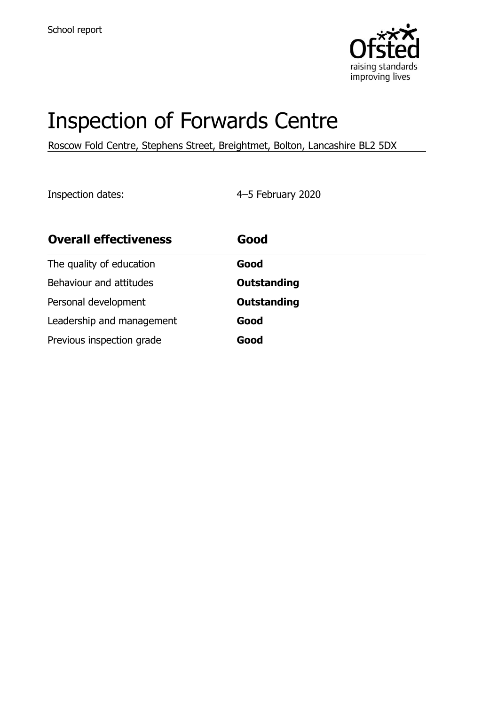

# Inspection of Forwards Centre

Roscow Fold Centre, Stephens Street, Breightmet, Bolton, Lancashire BL2 5DX

Inspection dates: 4–5 February 2020

| <b>Overall effectiveness</b> | Good               |
|------------------------------|--------------------|
| The quality of education     | Good               |
| Behaviour and attitudes      | <b>Outstanding</b> |
| Personal development         | <b>Outstanding</b> |
| Leadership and management    | Good               |
| Previous inspection grade    | Good               |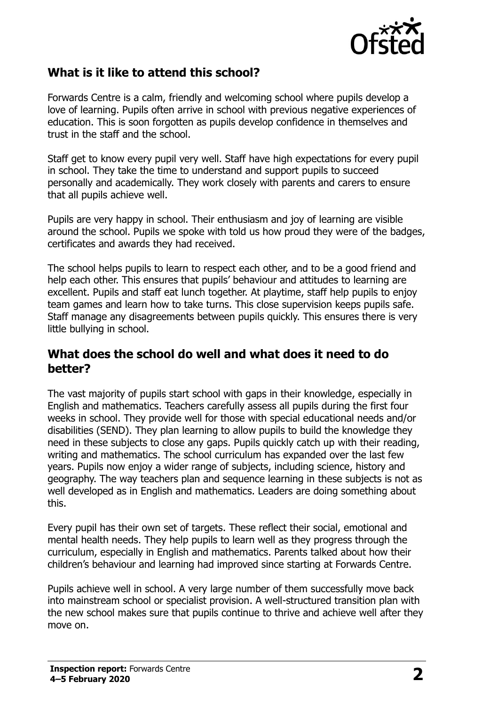

## **What is it like to attend this school?**

Forwards Centre is a calm, friendly and welcoming school where pupils develop a love of learning. Pupils often arrive in school with previous negative experiences of education. This is soon forgotten as pupils develop confidence in themselves and trust in the staff and the school.

Staff get to know every pupil very well. Staff have high expectations for every pupil in school. They take the time to understand and support pupils to succeed personally and academically. They work closely with parents and carers to ensure that all pupils achieve well.

Pupils are very happy in school. Their enthusiasm and joy of learning are visible around the school. Pupils we spoke with told us how proud they were of the badges, certificates and awards they had received.

The school helps pupils to learn to respect each other, and to be a good friend and help each other. This ensures that pupils' behaviour and attitudes to learning are excellent. Pupils and staff eat lunch together. At playtime, staff help pupils to enjoy team games and learn how to take turns. This close supervision keeps pupils safe. Staff manage any disagreements between pupils quickly. This ensures there is very little bullying in school.

#### **What does the school do well and what does it need to do better?**

The vast majority of pupils start school with gaps in their knowledge, especially in English and mathematics. Teachers carefully assess all pupils during the first four weeks in school. They provide well for those with special educational needs and/or disabilities (SEND). They plan learning to allow pupils to build the knowledge they need in these subjects to close any gaps. Pupils quickly catch up with their reading, writing and mathematics. The school curriculum has expanded over the last few years. Pupils now enjoy a wider range of subjects, including science, history and geography. The way teachers plan and sequence learning in these subjects is not as well developed as in English and mathematics. Leaders are doing something about this.

Every pupil has their own set of targets. These reflect their social, emotional and mental health needs. They help pupils to learn well as they progress through the curriculum, especially in English and mathematics. Parents talked about how their children's behaviour and learning had improved since starting at Forwards Centre.

Pupils achieve well in school. A very large number of them successfully move back into mainstream school or specialist provision. A well-structured transition plan with the new school makes sure that pupils continue to thrive and achieve well after they move on.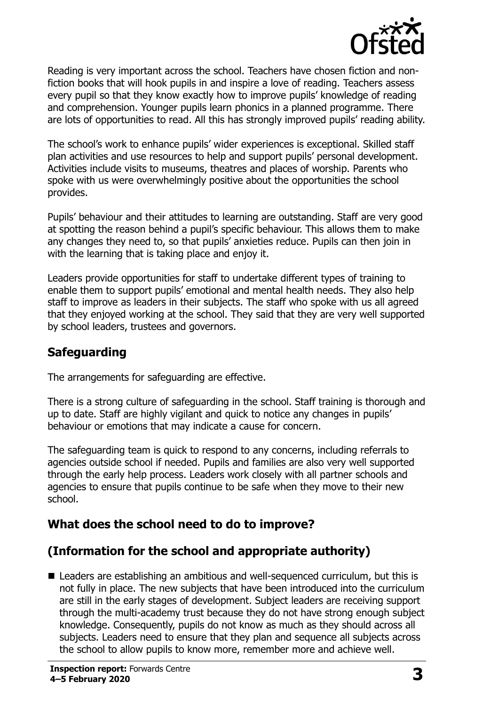

Reading is very important across the school. Teachers have chosen fiction and nonfiction books that will hook pupils in and inspire a love of reading. Teachers assess every pupil so that they know exactly how to improve pupils' knowledge of reading and comprehension. Younger pupils learn phonics in a planned programme. There are lots of opportunities to read. All this has strongly improved pupils' reading ability.

The school's work to enhance pupils' wider experiences is exceptional. Skilled staff plan activities and use resources to help and support pupils' personal development. Activities include visits to museums, theatres and places of worship. Parents who spoke with us were overwhelmingly positive about the opportunities the school provides.

Pupils' behaviour and their attitudes to learning are outstanding. Staff are very good at spotting the reason behind a pupil's specific behaviour. This allows them to make any changes they need to, so that pupils' anxieties reduce. Pupils can then join in with the learning that is taking place and enjoy it.

Leaders provide opportunities for staff to undertake different types of training to enable them to support pupils' emotional and mental health needs. They also help staff to improve as leaders in their subjects. The staff who spoke with us all agreed that they enjoyed working at the school. They said that they are very well supported by school leaders, trustees and governors.

## **Safeguarding**

The arrangements for safeguarding are effective.

There is a strong culture of safeguarding in the school. Staff training is thorough and up to date. Staff are highly vigilant and quick to notice any changes in pupils' behaviour or emotions that may indicate a cause for concern.

The safeguarding team is quick to respond to any concerns, including referrals to agencies outside school if needed. Pupils and families are also very well supported through the early help process. Leaders work closely with all partner schools and agencies to ensure that pupils continue to be safe when they move to their new school.

## **What does the school need to do to improve?**

## **(Information for the school and appropriate authority)**

■ Leaders are establishing an ambitious and well-sequenced curriculum, but this is not fully in place. The new subjects that have been introduced into the curriculum are still in the early stages of development. Subject leaders are receiving support through the multi-academy trust because they do not have strong enough subject knowledge. Consequently, pupils do not know as much as they should across all subjects. Leaders need to ensure that they plan and sequence all subjects across the school to allow pupils to know more, remember more and achieve well.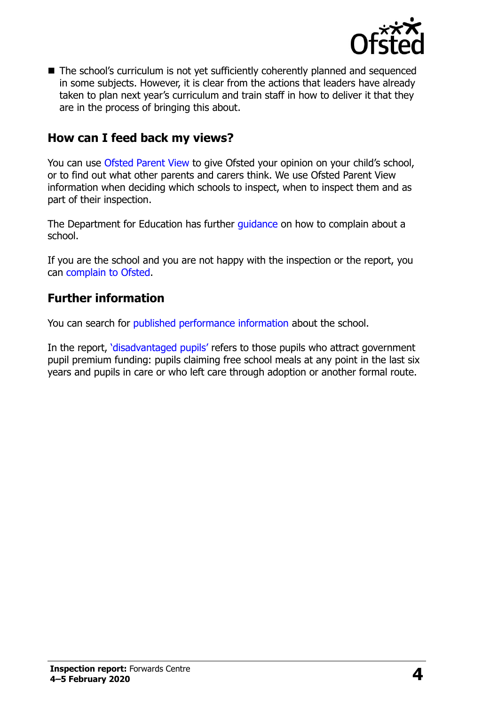

■ The school's curriculum is not yet sufficiently coherently planned and sequenced in some subjects. However, it is clear from the actions that leaders have already taken to plan next year's curriculum and train staff in how to deliver it that they are in the process of bringing this about.

### **How can I feed back my views?**

You can use [Ofsted Parent View](http://parentview.ofsted.gov.uk/) to give Ofsted your opinion on your child's school, or to find out what other parents and carers think. We use Ofsted Parent View information when deciding which schools to inspect, when to inspect them and as part of their inspection.

The Department for Education has further quidance on how to complain about a school.

If you are the school and you are not happy with the inspection or the report, you can [complain to Ofsted.](http://www.gov.uk/complain-ofsted-report)

### **Further information**

You can search for [published performance information](http://www.compare-school-performance.service.gov.uk/) about the school.

In the report, '[disadvantaged pupils](http://www.gov.uk/guidance/pupil-premium-information-for-schools-and-alternative-provision-settings)' refers to those pupils who attract government pupil premium funding: pupils claiming free school meals at any point in the last six years and pupils in care or who left care through adoption or another formal route.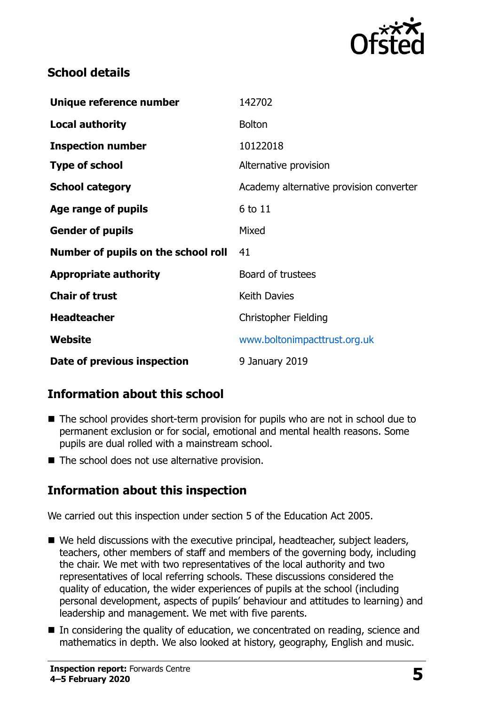

## **School details**

| Unique reference number             | 142702                                  |
|-------------------------------------|-----------------------------------------|
| <b>Local authority</b>              | <b>Bolton</b>                           |
| <b>Inspection number</b>            | 10122018                                |
| <b>Type of school</b>               | Alternative provision                   |
| <b>School category</b>              | Academy alternative provision converter |
| Age range of pupils                 | 6 to 11                                 |
| <b>Gender of pupils</b>             | Mixed                                   |
| Number of pupils on the school roll | 41                                      |
| <b>Appropriate authority</b>        | Board of trustees                       |
| <b>Chair of trust</b>               | <b>Keith Davies</b>                     |
| <b>Headteacher</b>                  | <b>Christopher Fielding</b>             |
| Website                             | www.boltonimpacttrust.org.uk            |
| Date of previous inspection         | 9 January 2019                          |

## **Information about this school**

- The school provides short-term provision for pupils who are not in school due to permanent exclusion or for social, emotional and mental health reasons. Some pupils are dual rolled with a mainstream school.
- The school does not use alternative provision.

## **Information about this inspection**

We carried out this inspection under section 5 of the Education Act 2005.

- We held discussions with the executive principal, headteacher, subject leaders, teachers, other members of staff and members of the governing body, including the chair. We met with two representatives of the local authority and two representatives of local referring schools. These discussions considered the quality of education, the wider experiences of pupils at the school (including personal development, aspects of pupils' behaviour and attitudes to learning) and leadership and management. We met with five parents.
- In considering the quality of education, we concentrated on reading, science and mathematics in depth. We also looked at history, geography, English and music.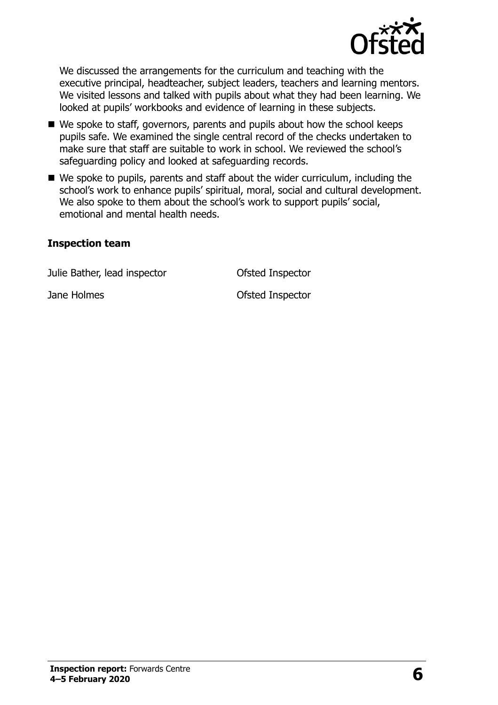

We discussed the arrangements for the curriculum and teaching with the executive principal, headteacher, subject leaders, teachers and learning mentors. We visited lessons and talked with pupils about what they had been learning. We looked at pupils' workbooks and evidence of learning in these subjects.

- We spoke to staff, governors, parents and pupils about how the school keeps pupils safe. We examined the single central record of the checks undertaken to make sure that staff are suitable to work in school. We reviewed the school's safeguarding policy and looked at safeguarding records.
- We spoke to pupils, parents and staff about the wider curriculum, including the school's work to enhance pupils' spiritual, moral, social and cultural development. We also spoke to them about the school's work to support pupils' social, emotional and mental health needs.

#### **Inspection team**

Julie Bather, lead inspector Ofsted Inspector

Jane Holmes **Districts** Ofsted Inspector